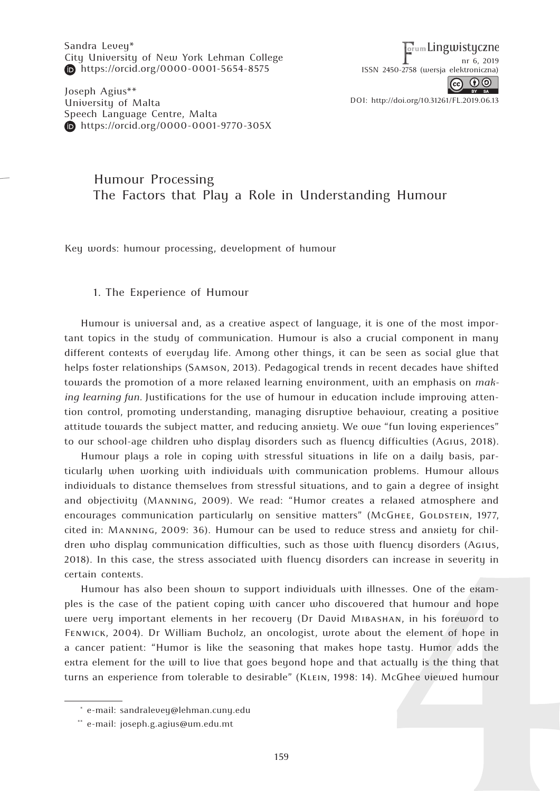Sandra Levey\* City University of New York Lehman College https://orcid.org/0000-0001-5654-8575

Joseph Agius\*\* University of Malta Speech Language Centre, Malta **https://orcid.org/0000-0001-9770-305X** 

**<u>orum Lingwistyczne</u>** nr 6, 2019 ISSN 2450-2758 (wersj[a elektroniczna\)](http://www.dbc.wroc.pl/dlibra/doccontent?id=24921)



DOI: http://doi.org/10.31261/FL.2019.06.13

# Humour Processing The Factors that Play a Role in Understanding Humour

Key words: humour processing, development of humour

### 1. The Experience of Humour

Humour is universal and, as a creative aspect of language, it is one of the most important topics in the study of communication. Humour is also a crucial component in many different contexts of everyday life. Among other things, it can be seen as social glue that helps foster relationships (Samson, 2013). Pedagogical trends in recent decades have shifted towards the promotion of a more relaxed learning environment, with an emphasis on *making learning fun.* Justifications for the use of humour in education include improving attention control, promoting understanding, managing disruptive behaviour, creating a positive attitude towards the subject matter, and reducing anxiety. We owe "fun loving experiences" to our school-age children who display disorders such as fluency difficulties (Agius, 2018).

Humour plays a role in coping with stressful situations in life on a daily basis, particularly when working with individuals with communication problems. Humour allows individuals to distance themselves from stressful situations, and to gain a degree of insight and objectivity (Manning, 2009). We read: "Humor creates a relaxed atmosphere and encourages communication particularly on sensitive matters" (McGHEE, GOLDSTEIN, 1977, cited in: Manning, 2009: 36). Humour can be used to reduce stress and anxiety for children who display communication difficulties, such as those with fluency disorders (Agius, 2018). In this case, the stress associated with fluency disorders can increase in severity in certain contexts.

Humour has also been shown to support individuals with illnesses. One of the examples is the case of the patient coping with cancer who discovered that humour and hope were very important elements in her recovery (Dr David Mibashan, in his foreword to Fenwick, 2004). Dr William Bucholz, an oncologist, wrote about the element of hope in a cancer patient: "Humor is like the seasoning that makes hope tasty. Humor adds the extra element for the will to live that goes beyond hope and that actually is the thing that turns an experience from tolerable to desirable" (Klein, 1998: 14). McGhee viewed humour

<sup>\*</sup> e-mail: sandralevey@lehman.cuny.edu

<sup>\*\*</sup> e-mail: joseph.g.agius@um.edu.mt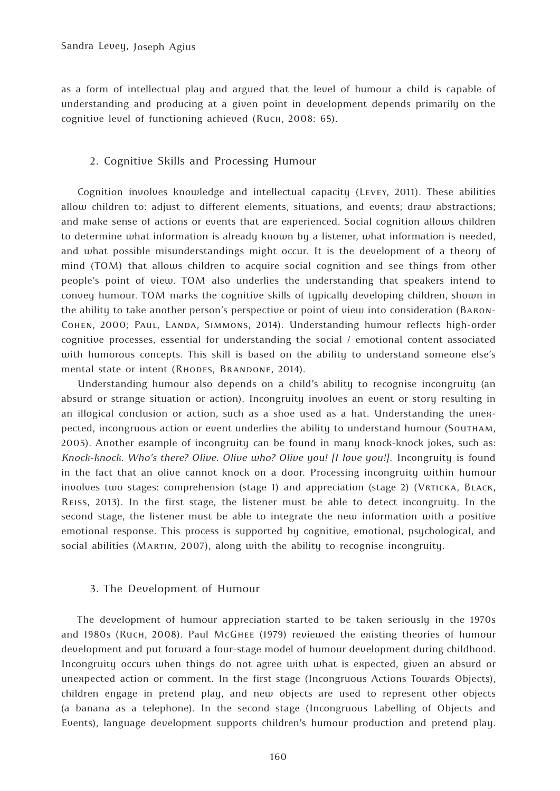as a form of intellectual play and argued that the level of humour a child is capable of understanding and producing at a given point in development depends primarily on the cognitive level of functioning achieved (Ruch, 2008: 65).

#### 2. Cognitive Skills and Processing Humour

Cognition involves knowledge and intellectual capacity (Levey, 2011). These abilities allow children to: adjust to different elements, situations, and events; draw abstractions; and make sense of actions or events that are experienced. Social cognition allows children to determine what information is already known by a listener, what information is needed, and what possible misunderstandings might occur. It is the development of a theory of mind (TOM) that allows children to acquire social cognition and see things from other people's point of view. TOM also underlies the understanding that speakers intend to convey humour. TOM marks the cognitive skills of typically developing children, shown in the ability to take another person's perspective or point of view into consideration (Baron-COHEN, 2000; PAUL, LANDA, SIMMONS, 2014). Understanding humour reflects high-order cognitive processes, essential for understanding the social / emotional content associated with humorous concepts. This skill is based on the ability to understand someone else's mental state or intent (RHODES, BRANDONE, 2014).

Understanding humour also depends on a child's ability to recognise incongruity (an absurd or strange situation or action). Incongruity involves an event or story resulting in an illogical conclusion or action, such as a shoe used as a hat. Understanding the unexpected, incongruous action or event underlies the ability to understand humour (Southam, 2005). Another example of incongruity can be found in many knock-knock jokes, such as: *Knock-knock. Who's there? Olive. Olive who? Olive you! [I love you!]*. Incongruity is found in the fact that an olive cannot knock on a door. Processing incongruity within humour involves two stages: comprehension (stage 1) and appreciation (stage 2) (Vrticka, Black, Reiss, 2013). In the first stage, the listener must be able to detect incongruity. In the second stage, the listener must be able to integrate the new information with a positive emotional response. This process is supported by cognitive, emotional, psychological, and social abilities (MARTIN, 2007), along with the ability to recognise incongruity.

### 3. The Development of Humour

The development of humour appreciation started to be taken seriously in the 1970s and 1980s (Ruch, 2008). Paul McGhee (1979) reviewed the existing theories of humour development and put forward a four-stage model of humour development during childhood. Incongruity occurs when things do not agree with what is expected, given an absurd or unexpected action or comment. In the first stage (Incongruous Actions Towards Objects), children engage in pretend play, and new objects are used to represent other objects (a banana as a telephone). In the second stage (Incongruous Labelling of Objects and Events), language development supports children's humour production and pretend play.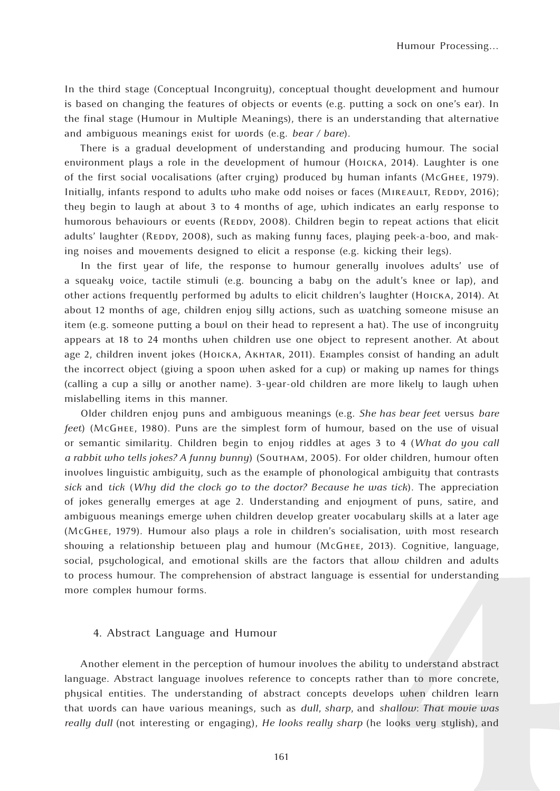In the third stage (Conceptual Incongruity), conceptual thought development and humour is based on changing the features of objects or events (e.g. putting a sock on one's ear). In the final stage (Humour in Multiple Meanings), there is an understanding that alternative and ambiguous meanings exist for words (e.g. *bear / bare*).

There is a gradual development of understanding and producing humour. The social environment plays a role in the development of humour (Hoicka, 2014). Laughter is one of the first social vocalisations (after crying) produced by human infants (McGhee, 1979). Initially, infants respond to adults who make odd noises or faces (MIREAULT, REDDY, 2016); they begin to laugh at about 3 to 4 months of age, which indicates an early response to humorous behaviours or events (REDDY, 2008). Children begin to repeat actions that elicit adults' laughter (REDDY, 2008), such as making funny faces, playing peek-a-boo, and making noises and movements designed to elicit a response (e.g. kicking their legs).

In the first year of life, the response to humour generally involves adults' use of a squeaky voice, tactile stimuli (e.g. bouncing a baby on the adult's knee or lap), and other actions frequently performed by adults to elicit children's laughter (Hoicka, 2014). At about 12 months of age, children enjoy silly actions, such as watching someone misuse an item (e.g. someone putting a bowl on their head to represent a hat). The use of incongruity appears at 18 to 24 months when children use one object to represent another. At about age 2, children invent jokes (Ноїска, Акнтак, 2011). Examples consist of handing an adult the incorrect object (giving a spoon when asked for a cup) or making up names for things (calling a cup a silly or another name). 3-year-old children are more likely to laugh when mislabelling items in this manner.

Older children enjoy puns and ambiguous meanings (e.g. *She has bear feet* versus *bare feet*) (McGhee, 1980). Puns are the simplest form of humour, based on the use of visual or semantic similarity. Children begin to enjoy riddles at ages 3 to 4 (*What do you call a rabbit who tells jokes? A funny bunny*) (Southam, 2005). For older children, humour often involves linguistic ambiguity, such as the example of phonological ambiguity that contrasts *sick* and *tick* (*Why did the clock go to the doctor? Because he was tick*). The appreciation of jokes generally emerges at age 2. Understanding and enjoyment of puns, satire, and ambiguous meanings emerge when children develop greater vocabulary skills at a later age (McGhee, 1979). Humour also plays a role in children's socialisation, with most research showing a relationship between play and humour (McGhee, 2013). Cognitive, language, social, psychological, and emotional skills are the factors that allow children and adults to process humour. The comprehension of abstract language is essential for understanding more complex humour forms.

#### 4. Abstract Language and Humour

Another element in the perception of humour involves the ability to understand abstract language. Abstract language involves reference to concepts rather than to more concrete, physical entities. The understanding of abstract concepts develops when children learn that words can have various meanings, such as *dull*, *sharp*, and *shallow*: *That movie was really dull* (not interesting or engaging), *He looks really sharp* (he looks very stylish), and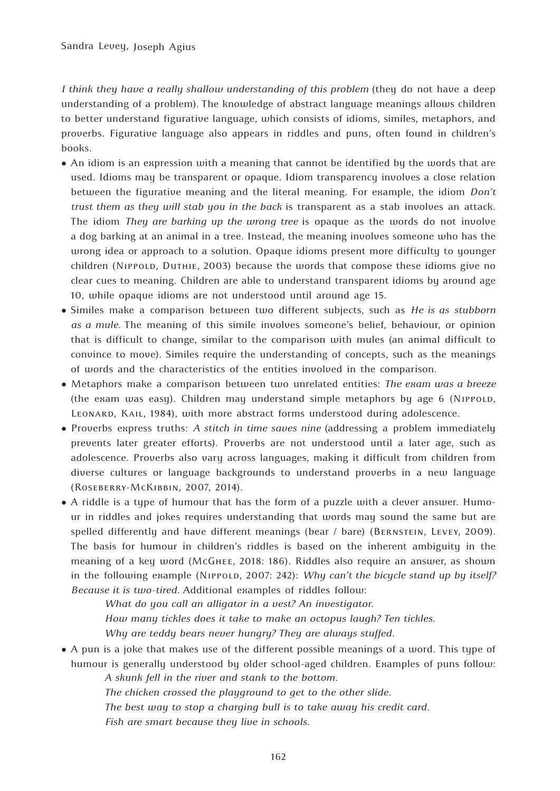*I think they have a really shallow understanding of this problem* (they do not have a deep understanding of a problem). The knowledge of abstract language meanings allows children to better understand figurative language, which consists of idioms, similes, metaphors, and proverbs. Figurative language also appears in riddles and puns, often found in children's books.

- An idiom is an expression with a meaning that cannot be identified by the words that are used. Idioms may be transparent or opaque. Idiom transparency involves a close relation between the figurative meaning and the literal meaning. For example, the idiom *Don't trust them as they will stab you in the back* is transparent as a stab involves an attack. The idiom *They are barking up the wrong tree* is opaque as the words do not involve a dog barking at an animal in a tree. Instead, the meaning involves someone who has the wrong idea or approach to a solution. Opaque idioms present more difficulty to younger children (Nippold, Duthie, 2003) because the words that compose these idioms give no clear cues to meaning. Children are able to understand transparent idioms by around age 10, while opaque idioms are not understood until around age 15.
- Similes make a comparison between two different subjects, such as *He is as stubborn as a mule.* The meaning of this simile involves someone's belief, behaviour, or opinion that is difficult to change, similar to the comparison with mules (an animal difficult to convince to move). Similes require the understanding of concepts, such as the meanings of words and the characteristics of the entities involved in the comparison.
- Metaphors make a comparison between two unrelated entities: *The exam was a breeze*  (the exam was easy). Children may understand simple metaphors by age 6 (NIPPOLD, Leonard, Kail, 1984), with more abstract forms understood during adolescence.
- Proverbs express truths: *A stitch in time saves nine* (addressing a problem immediately prevents later greater efforts). Proverbs are not understood until a later age, such as adolescence. Proverbs also vary across languages, making it difficult from children from diverse cultures or language backgrounds to understand proverbs in a new language (Roseberry-McKibbin, 2007, 2014).
- A riddle is a type of humour that has the form of a puzzle with a clever answer. Humour in riddles and jokes requires understanding that words may sound the same but are spelled differently and have different meanings (bear / bare) (Bernstein, Levey, 2009). The basis for humour in children's riddles is based on the inherent ambiguity in the meaning of a key word (McGhee, 2018: 186). Riddles also require an answer, as shown in the following example (NIPPOLD, 2007: 242): *Why can't the bicycle stand up by itself? Because it is two-tired.* Additional examples of riddles follow:

*What do you call an alligator in a vest? An investigator. How many tickles does it take to make an octopus laugh? Ten tickles. Why are teddy bears never hungry? They are always stuffed*.

● A pun is a joke that makes use of the different possible meanings of a word. This type of humour is generally understood by older school-aged children. Examples of puns follow:

*A skunk fell in the river and stank to the bottom.*

*The chicken crossed the playground to get to the other slide.*

*The best way to stop a charging bull is to take away his credit card.*

*Fish are smart because they live in schools.*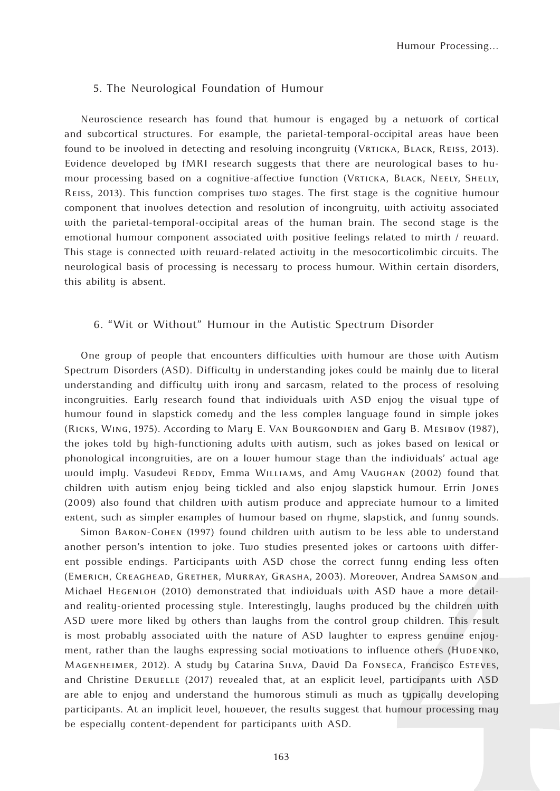### 5. The Neurological Foundation of Humour

Neuroscience research has found that humour is engaged by a network of cortical and subcortical structures. For example, the parietal-temporal-occipital areas have been found to be involved in detecting and resolving incongruity (VRTICKA, BLACK, REISS, 2013). Evidence developed by fMRI research suggests that there are neurological bases to humour processing based on a cognitive-affective function (Vrticka, Black, Neely, Shelly, Reiss, 2013). This function comprises two stages. The first stage is the cognitive humour component that involves detection and resolution of incongruity, with activity associated with the parietal-temporal-occipital areas of the human brain. The second stage is the emotional humour component associated with positive feelings related to mirth / reward. This stage is connected with reward-related activity in the mesocorticolimbic circuits. The neurological basis of processing is necessary to process humour. Within certain disorders, this ability is absent.

## 6. "Wit or Without" Humour in the Autistic Spectrum Disorder

One group of people that encounters difficulties with humour are those with Autism Spectrum Disorders (ASD). Difficulty in understanding jokes could be mainly due to literal understanding and difficulty with irony and sarcasm, related to the process of resolving incongruities. Early research found that individuals with ASD enjoy the visual type of humour found in slapstick comedy and the less complex language found in simple jokes (Ricks, Wing, 1975). According to Mary E. Van Bourgondien and Gary B. Mesibov (1987), the jokes told by high-functioning adults with autism, such as jokes based on lexical or phonological incongruities, are on a lower humour stage than the individuals' actual age would imply. Vasudevi REDDY, Emma WILLIAMS, and Amy VAUGHAN (2002) found that children with autism enjoy being tickled and also enjoy slapstick humour. Errin Jones (2009) also found that children with autism produce and appreciate humour to a limited extent, such as simpler examples of humour based on rhyme, slapstick, and funny sounds.

Simon Baron-Cohen (1997) found children with autism to be less able to understand another person's intention to joke. Two studies presented jokes or cartoons with different possible endings. Participants with ASD chose the correct funny ending less often (Emerich, Creaghead, Grether, Murray, Grasha, 2003). Moreover, Andrea Samson and Michael Hegenloh (2010) demonstrated that individuals with ASD have a more detailand reality-oriented processing style. Interestingly, laughs produced by the children with ASD were more liked by others than laughs from the control group children. This result is most probably associated with the nature of ASD laughter to express genuine enjoyment, rather than the laughs expressing social motivations to influence others (HuDENKO, Magenheimer, 2012). A study by Catarina Silva, David Da Fonseca, Francisco Esteves, and Christine Deruelle (2017) revealed that, at an explicit level, participants with ASD are able to enjoy and understand the humorous stimuli as much as typically developing participants. At an implicit level, however, the results suggest that humour processing may be especially content-dependent for participants with ASD.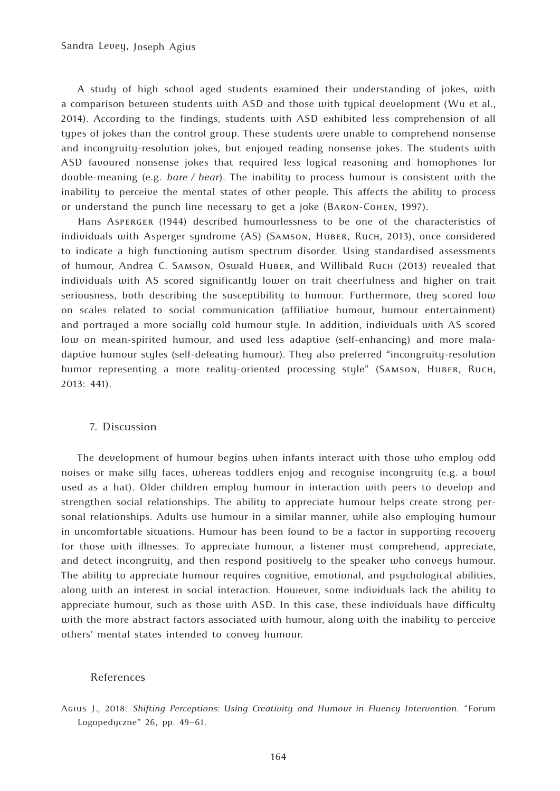A study of high school aged students examined their understanding of jokes, with a comparison between students with ASD and those with typical development (Wu et al., 2014). According to the findings, students with ASD exhibited less comprehension of all types of jokes than the control group. These students were unable to comprehend nonsense and incongruity-resolution jokes, but enjoyed reading nonsense jokes. The students with ASD favoured nonsense jokes that required less logical reasoning and homophones for double-meaning (e.g. *bare / bear*). The inability to process humour is consistent with the inability to perceive the mental states of other people. This affects the ability to process or understand the punch line necessary to get a joke (Baron-Cohen, 1997).

Hans Asperger (1944) described humourlessness to be one of the characteristics of individuals with Asperger syndrome (AS) (Samson, Huber, Ruch, 2013), once considered to indicate a high functioning autism spectrum disorder. Using standardised assessments of humour, Andrea C. Samson, Oswald Huber, and Willibald Ruch (2013) revealed that individuals with AS scored significantly lower on trait cheerfulness and higher on trait seriousness, both describing the susceptibility to humour. Furthermore, they scored low on scales related to social communication (affiliative humour, humour entertainment) and portrayed a more socially cold humour style. In addition, individuals with AS scored low on mean-spirited humour, and used less adaptive (self-enhancing) and more maladaptive humour styles (self-defeating humour). They also preferred "incongruity-resolution humor representing a more reality-oriented processing style" (SAMSON, HuBER, Ruch, 2013: 441).

#### 7. Discussion

The development of humour begins when infants interact with those who employ odd noises or make silly faces, whereas toddlers enjoy and recognise incongruity (e.g. a bowl used as a hat). Older children employ humour in interaction with peers to develop and strengthen social relationships. The ability to appreciate humour helps create strong personal relationships. Adults use humour in a similar manner, while also employing humour in uncomfortable situations. Humour has been found to be a factor in supporting recovery for those with illnesses. To appreciate humour, a listener must comprehend, appreciate, and detect incongruity, and then respond positively to the speaker who conveys humour. The ability to appreciate humour requires cognitive, emotional, and psychological abilities, along with an interest in social interaction. However, some individuals lack the ability to appreciate humour, such as those with ASD. In this case, these individuals have difficulty with the more abstract factors associated with humour, along with the inability to perceive others' mental states intended to convey humour.

#### References

Agius J., 2018: *Shifting Perceptions: Using Creativity and Humour in Fluency Intervention*. "Forum Logopedyczne" 26, pp. 49–61.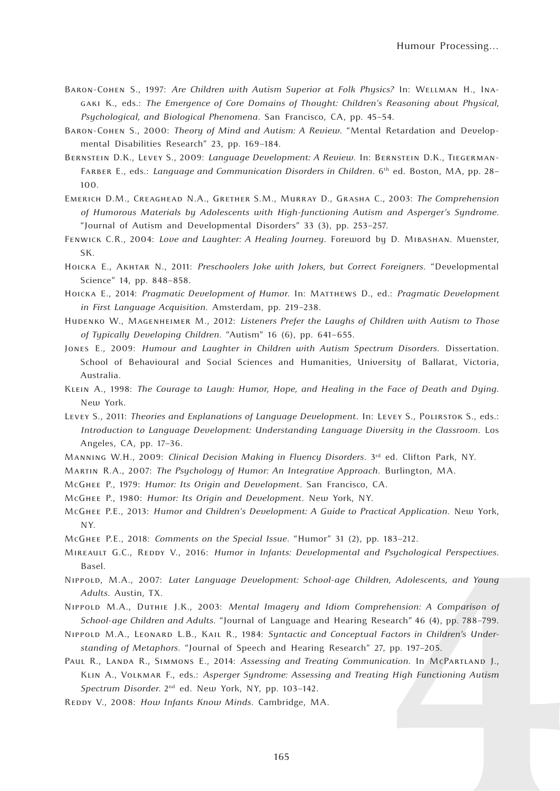- Baron-Cohen S., 1997: *Are Children with Autism Superior at Folk Physics?* In: Wellman H., Inagaki K., eds.: *The Emergence of Core Domains of Thought: Children's Reasoning about Physical, Psychological, and Biological Phenomena*. San Francisco, CA, pp. 45–54.
- Baron-Cohen S., 2000: *Theory of Mind and Autism: A Review*. "Mental Retardation and Developmental Disabilities Research" 23, pp. 169–184.
- Bernstein D.K., Levey S., 2009: *Language Development: A Review*. In: Bernstein D.K., Tiegerman-Farber E., eds.: *Language and Communication Disorders in Children*. 6th ed. Boston, MA, pp. 28– 100.
- Emerich D.M., Creaghead N.A., Grether S.M., Murray D., Grasha C., 2003: *The Comprehension of Humorous Materials by Adolescents with High-functioning Autism and Asperger's Syndrome*. "Journal of Autism and Developmental Disorders" 33 (3), pp. 253–257.
- Fenwick C.R., 2004: *Love and Laughter: A Healing Journey*. Foreword by D. Mibashan. Muenster, SK.
- Hoicka E., Akhtar N., 2011: *Preschoolers Joke with Jokers, but Correct Foreigners*. "Developmental Science" 14, pp. 848–858.
- Hoicka E., 2014: *Pragmatic Development of Humor*. In: Matthews D., ed.: *Pragmatic Development in First Language Acquisition*. Amsterdam, pp. 219–238.
- Hudenko W., Magenheimer M., 2012: *Listeners Prefer the Laughs of Children with Autism to Those of Typically Developing Children*. "Autism" 16 (6), pp. 641–655.
- Jones E., 2009: *Humour and Laughter in Children with Autism Spectrum Disorders.* Dissertation. School of Behavioural and Social Sciences and Humanities, University of Ballarat, Victoria, Australia.
- Klein A., 1998: *The Courage to Laugh: Humor, Hope, and Healing in the Face of Death and Dying*. New York.
- Levey S., 2011: *Theories and Explanations of Language Development*. In: Levey S., Polirstok S., eds.: *Introduction to Language Development: Understanding Language Diversity in the Classroom*. Los Angeles, CA, pp. 17–36.
- Manning W.H., 2009: *Clinical Decision Making in Fluency Disorders*. 3rd ed. Clifton Park, NY.
- Martin R.A., 2007: *The Psychology of Humor: An Integrative Approach*. Burlington, MA.
- McGhee P., 1979: *Humor: Its Origin and Development*. San Francisco, CA.
- McGhee P., 1980: *Humor: Its Origin and Development*. New York, NY.
- McGhee P.E., 2013: *Humor and Children's Development: A Guide to Practical Application*. New York, NY.
- McGhee P.E., 2018: *Comments on the Special Issue*. "Humor" 31 (2), pp. 183–212.
- MIREAULT G.C., REDDY V., 2016: *Humor in Infants: Developmental and Psychological Perspectives*. Basel.
- Nippold, M.A., 2007: *Later Language Development: School-age Children, Adolescents, and Young Adults*. Austin, TX.
- Nippold M.A., Duthie J.K., 2003: *Mental Imagery and Idiom Comprehension: A Comparison of School-age Children and Adults*. "Journal of Language and Hearing Research" 46 (4), pp. 788–799.
- Nippold M.A., Leonard L.B., Kail R., 1984: *Syntactic and Conceptual Factors in Children's Understanding of Metaphors*. "Journal of Speech and Hearing Research" 27, pp. 197–205.
- Paul R., Landa R., Simmons E., 2014: *Assessing and Treating Communication*. In McPartland J., Klin A., Volkmar F., eds.: *Asperger Syndrome: Assessing and Treating High Functioning Autism Spectrum Disorder*. 2nd ed. New York, NY, pp. 103–142.
- REDDY V., 2008: *How Infants Know Minds*. Cambridge, MA.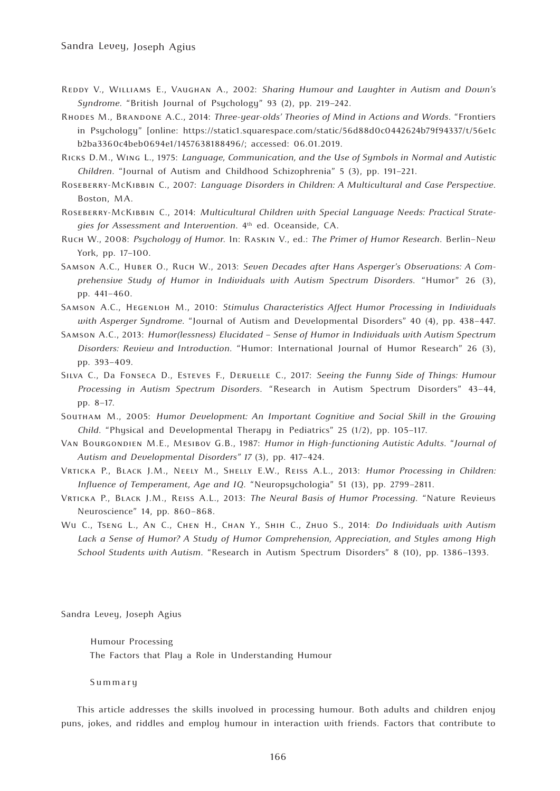- Reddy V., Williams E., Vaughan A., 2002: *Sharing Humour and Laughter in Autism and Down's Syndrome*. "British Journal of Psychology" 93 (2), pp. 219–242.
- Rhodes M., Brandone A.C., 2014: *Three-year-olds' Theories of Mind in Actions and Words*. "Frontiers in Psychology" [online: https://static1.squarespace.com/static/56d88d0c0442624b79f94337/t/56e1c b2ba3360c4beb0694e1/1457638188496/; accessed: 06.01.2019.
- Ricks D.M., Wing L., 1975: *Language, Communication, and the Use of Symbols in Normal and Autistic Children*. "Journal of Autism and Childhood Schizophrenia" 5 (3), pp. 191–221.
- Roseberry-McKibbin C., 2007: *Language Disorders in Children: A Multicultural and Case Perspective*. Boston, MA.
- Roseberry-McKibbin C., 2014: *Multicultural Children with Special Language Needs: Practical Strategies for Assessment and Intervention*. 4th ed. Oceanside, CA.
- Ruch W., 2008: *Psychology of Humor*. In: Raskin V., ed.: *The Primer of Humor Research*. Berlin–New York, pp. 17–100.
- Samson A.C., Huber O., Ruch W., 2013: *Seven Decades after Hans Asperger's Observations: A Comprehensive Study of Humor in Individuals with Autism Spectrum Disorders*. "Humor" 26 (3), pp. 441–460.
- Samson A.C., Hegenloh M., 2010: *Stimulus Characteristics Affect Humor Processing in Individuals with Asperger Syndrome*. "Journal of Autism and Developmental Disorders" 40 (4), pp. 438–447.
- Samson A.C., 2013: *Humor(lessness) Elucidated Sense of Humor in Individuals with Autism Spectrum Disorders: Review and Introduction*. "Humor: International Journal of Humor Research" 26 (3), pp. 393–409.
- Silva C., Da Fonseca D., Esteves F., Deruelle C., 2017: *Seeing the Funny Side of Things: Humour Processing in Autism Spectrum Disorders*. "Research in Autism Spectrum Disorders" 43–44, pp. 8–17.
- Southam M., 2005: *Humor Development: An Important Cognitive and Social Skill in the Growing Child*. "Physical and Developmental Therapy in Pediatrics" 25 (1/2), pp. 105–117.
- Van Bourgondien M.E., Mesibov G.B., 1987: *Humor in High-functioning Autistic Adults*. "*Journal of Autism and Developmental Disorders" 17* (3), pp. 417–424.
- Vrticka P., Black J.M., Neely M., Shelly E.W., Reiss A.L., 2013: *Humor Processing in Children: Influence of Temperament, Age and IQ*. "Neuropsychologia" 51 (13), pp. 2799–2811.
- Vrticka P., Black J.M., Reiss A.L., 2013: *The Neural Basis of Humor Processing*. "Nature Reviews Neuroscience" 14, pp. 860–868.
- Wu C., Tseng L., An C., Chen H., Chan Y., Shih C., Zhuo S., 2014: *Do Individuals with Autism Lack a Sense of Humor? A Study of Humor Comprehension, Appreciation, and Styles among High School Students with Autism*. "Research in Autism Spectrum Disorders" 8 (10), pp. 1386–1393.

Sandra Levey, Joseph Agius

Humour Processing The Factors that Play a Role in Understanding Humour

Summary

This article addresses the skills involved in processing humour. Both adults and children enjoy puns, jokes, and riddles and employ humour in interaction with friends. Factors that contribute to